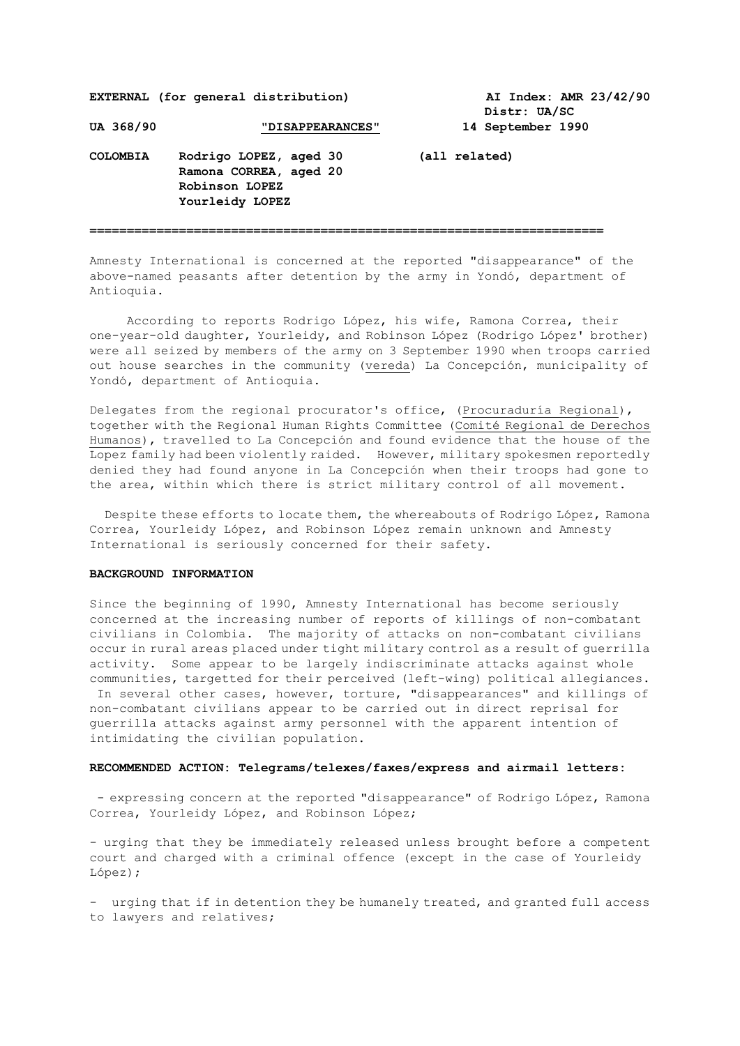**EXTERNAL (for general distribution) AI Index: AMR 23/42/90**

 **Distr: UA/SC** 

UA 368/90 **TELES INCONTEXT IN TELL** UP 14 September 1990

**COLOMBIA Rodrigo LOPEZ, aged 30 (all related) Ramona CORREA, aged 20 Robinson LOPEZ Yourleidy LOPEZ**

**=====================================================================**

Amnesty International is concerned at the reported "disappearance" of the above-named peasants after detention by the army in Yondó, department of Antioquia.

 According to reports Rodrigo López, his wife, Ramona Correa, their one-year-old daughter, Yourleidy, and Robinson López (Rodrigo López' brother) were all seized by members of the army on 3 September 1990 when troops carried out house searches in the community (vereda) La Concepción, municipality of Yondó, department of Antioquia.

Delegates from the regional procurator's office, (Procuraduría Regional), together with the Regional Human Rights Committee (Comité Regional de Derechos Humanos), travelled to La Concepción and found evidence that the house of the Lopez family had been violently raided. However, military spokesmen reportedly denied they had found anyone in La Concepción when their troops had gone to the area, within which there is strict military control of all movement.

 Despite these efforts to locate them, the whereabouts of Rodrigo López, Ramona Correa, Yourleidy López, and Robinson López remain unknown and Amnesty International is seriously concerned for their safety.

## **BACKGROUND INFORMATION**

Since the beginning of 1990, Amnesty International has become seriously concerned at the increasing number of reports of killings of non-combatant civilians in Colombia. The majority of attacks on non-combatant civilians occur in rural areas placed under tight military control as a result of guerrilla activity. Some appear to be largely indiscriminate attacks against whole communities, targetted for their perceived (left-wing) political allegiances. In several other cases, however, torture, "disappearances" and killings of non-combatant civilians appear to be carried out in direct reprisal for guerrilla attacks against army personnel with the apparent intention of intimidating the civilian population.

## **RECOMMENDED ACTION: Telegrams/telexes/faxes/express and airmail letters:**

- expressing concern at the reported "disappearance" of Rodrigo López, Ramona Correa, Yourleidy López, and Robinson López;

- urging that they be immediately released unless brought before a competent court and charged with a criminal offence (except in the case of Yourleidy López);

- urging that if in detention they be humanely treated, and granted full access to lawyers and relatives;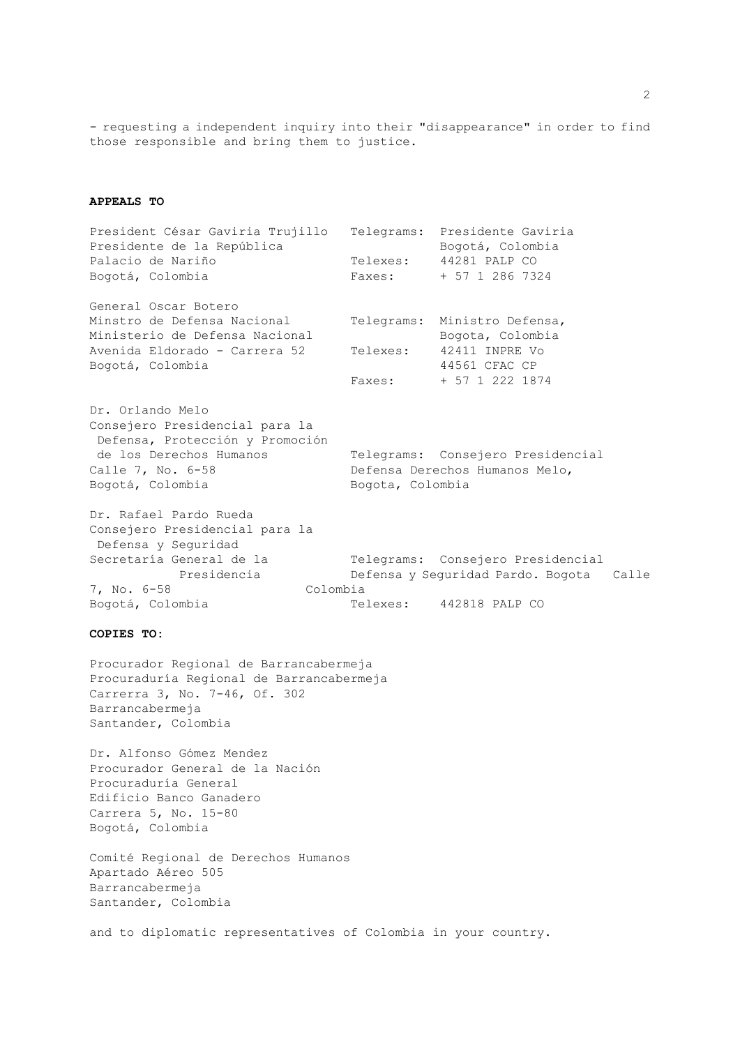- requesting a independent inquiry into their "disappearance" in order to find those responsible and bring them to justice.

## **APPEALS TO**

President César Gaviria Trujillo Telegrams: Presidente Gaviria Presidente de la República de Bogotá, Colombia Palacio de Nariño  $T = T + T$ Telexes: 44281 PALP CO Bogotá, Colombia Faxes: + 57 1 286 7324 General Oscar Botero Minstro de Defensa Nacional Telegrams: Ministro Defensa, Ministerio de Defensa Nacional (Bogota, Colombia Avenida Eldorado - Carrera 52 Telexes: 42411 INPRE Vo Bogotá, Colombia 44561 CFAC CP Faxes: + 57 1 222 1874 Dr. Orlando Melo Consejero Presidencial para la Defensa, Protección y Promoción de los Derechos Humanos Telegrams: Consejero Presidencial Calle 7, No. 6-58 Defensa Derechos Humanos Melo, Bogotá, Colombia **Bogota, Colombia** Dr. Rafael Pardo Rueda Consejero Presidencial para la Defensa y Seguridad Secretaría General de la Telegrams: Consejero Presidencial

 Presidencia Defensa y Seguridad Pardo. Bogota Calle 7, No. 6-58 Colombia Bogotá, Colombia Telexes: 442818 PALP CO

## **COPIES TO:**

Procurador Regional de Barrancabermeja Procuraduría Regional de Barrancabermeja Carrerra 3, No. 7-46, Of. 302 Barrancabermeja Santander, Colombia

Dr. Alfonso Gómez Mendez Procurador General de la Nación Procuraduría General Edificio Banco Ganadero Carrera 5, No. 15-80 Bogotá, Colombia

Comité Regional de Derechos Humanos Apartado Aéreo 505 Barrancabermeja Santander, Colombia

and to diplomatic representatives of Colombia in your country.